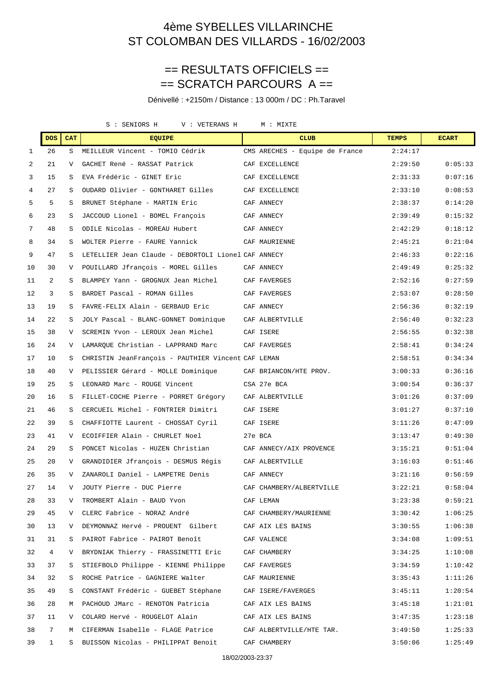### == RESULTATS OFFICIELS == == SCRATCH PARCOURS A ==

Dénivellé : +2150m / Distance : 13 000m / DC : Ph.Taravel

S : SENIORS H V : VETERANS H M : MIXTE

|              | <b>DOS</b>      | <b>CAT</b> | <b>EQUIPE</b>                                                            | <b>CLUB</b>                    | <b>TEMPS</b> | <b>ECART</b> |
|--------------|-----------------|------------|--------------------------------------------------------------------------|--------------------------------|--------------|--------------|
| $\mathbf{1}$ | 26              | S          | MEILLEUR Vincent - TOMIO Cédrik                                          | CMS ARECHES - Equipe de France | 2:24:17      |              |
| 2            | 21              | V          | GACHET René - RASSAT Patrick                                             | CAF EXCELLENCE                 | 2:29:50      | 0:05:33      |
| 3            | 15              | S          | EVA Frédéric - GINET Eric                                                | CAF EXCELLENCE                 | 2:31:33      | 0:07:16      |
| 4            | 27              | S          | OUDARD Olivier - GONTHARET Gilles                                        | CAF EXCELLENCE                 | 2:33:10      | 0:08:53      |
| 5            | 5               | S          | BRUNET Stéphane - MARTIN Eric                                            | CAF ANNECY                     | 2:38:37      | 0:14:20      |
| 6            | 23              | S          | JACCOUD Lionel - BOMEL François                                          | CAF ANNECY                     | 2:39:49      | 0:15:32      |
| 7            | 48              | S          | ODILE Nicolas - MOREAU Hubert                                            | CAF ANNECY                     | 2:42:29      | 0:18:12      |
| 8            | 34              | S          | WOLTER Pierre - FAURE Yannick                                            | CAF MAURIENNE                  | 2:45:21      | 0:21:04      |
| 9            | 47              | S          | LETELLIER Jean Claude - DEBORTOLI Lionel CAF ANNECY                      |                                | 2:46:33      | 0:22:16      |
| 10           | 30              | V          | POUILLARD Jfrançois - MOREL Gilles                                       | CAF ANNECY                     | 2:49:49      | 0:25:32      |
| 11           | 2               | S          | BLAMPEY Yann - GROGNUX Jean Michel                                       | CAF FAVERGES                   | 2:52:16      | 0:27:59      |
| 12           | 3               | S          | BARDET Pascal - ROMAN Gilles                                             | CAF FAVERGES                   | 2:53:07      | 0:28:50      |
| 13           | 19              | S          | FAVRE-FELIX Alain - GERBAUD Eric                                         | CAF ANNECY                     | 2:56:36      | 0:32:19      |
| 14           | 22              | S          | JOLY Pascal - BLANC-GONNET Dominique                                     | CAF ALBERTVILLE                | 2:56:40      | 0:32:23      |
| 15           | 38              | V          | SCREMIN Yvon - LEROUX Jean Michel                                        | CAF ISERE                      | 2:56:55      | 0:32:38      |
| 16           | 24              | V          | LAMARQUE Christian - LAPPRAND Marc                                       | CAF FAVERGES                   | 2:58:41      | 0:34:24      |
| 17           | 10              | S          | CHRISTIN JeanFrançois - PAUTHIER Vincent CAF LEMAN                       |                                | 2:58:51      | 0:34:34      |
| 18           | 40              | V          | PELISSIER Gérard - MOLLE Dominique                                       | CAF BRIANCON/HTE PROV.         | 3:00:33      | 0:36:16      |
| 19           | 25              | S          | LEONARD Marc - ROUGE Vincent                                             | CSA 27e BCA                    | 3:00:54      | 0:36:37      |
| 20           | 16              | S          | FILLET-COCHE Pierre - PORRET Grégory                                     | CAF ALBERTVILLE                | 3:01:26      | 0:37:09      |
| 21           | 46              | S          | CERCUEIL Michel - FONTRIER Dimitri                                       | CAF ISERE                      | 3:01:27      | 0:37:10      |
| 22           | 39              | S          | CHAFFIOTTE Laurent - CHOSSAT Cyril                                       | CAF ISERE                      | 3:11:26      | 0:47:09      |
| 23           | 41              | V          | ECOIFFIER Alain - CHURLET Noel                                           | 27e BCA                        | 3:13:47      | 0:49:30      |
| 24           | 29              | S          | PONCET Nicolas - HUZEN Christian                                         | CAF ANNECY/AIX PROVENCE        | 3:15:21      | 0:51:04      |
| 25           | 20              | V          | GRANDIDIER Jfrançois - DESMUS Régis                                      | CAF ALBERTVILLE                | 3:16:03      | 0:51:46      |
| 26           | 35              | V          | ZANAROLI Daniel - LAMPETRE Denis                                         | CAF ANNECY                     | 3:21:16      | 0:56:59      |
| 27           | 14              | V          | JOUTY Pierre - DUC Pierre                                                | CAF CHAMBERY/ALBERTVILLE       | 3:22:21      | 0:58:04      |
| 28           | 33              |            | TROMBERT Alain - BAUD Yvon                                               | CAF LEMAN                      | 3:23:38      | 0:59:21      |
| 29           | 45              | V          | CLERC Fabrice - NORAZ André                       CAF CHAMBERY/MAURIENNE |                                | 3:30:42      | 1:06:25      |
| 30           | 13              | V          | DEYMONNAZ Hervé - PROUENT Gilbert CAF AIX LES BAINS                      |                                | 3:30:55      | 1:06:38      |
| 31           | 31              | S          | PAIROT Fabrice - PAIROT Benoît CAF VALENCE                               |                                | 3:34:08      | 1:09:51      |
| 32           | $4\overline{ }$ | V          | BRYDNIAK Thierry - FRASSINETTI Eric CAF CHAMBERY                         |                                | 3:34:25      | 1:10:08      |
| 33           | 37              | S          | STIEFBOLD Philippe - KIENNE Philippe                                     | CAF FAVERGES                   | 3:34:59      | 1:10:42      |
| 34           | 32              | S          | ROCHE Patrice - GAGNIERE Walter CAF MAURIENNE                            |                                | 3:35:43      | 1:11:26      |
| 35           | 49              | S          | CONSTANT Frédéric - GUEBET Stéphane CAF ISERE/FAVERGES                   |                                | 3:45:11      | 1:20:54      |
| 36           | 28              | М          | PACHOUD JMarc - RENOTON Patricia CAF AIX LES BAINS                       |                                | 3:45:18      | 1:21:01      |
| 37           | 11              | V –        | COLARD Hervé - ROUGELOT Alain CAF AIX LES BAINS                          |                                | 3:47:35      | 1:23:18      |
| 38           | 7               | M          | CIFERMAN Isabelle - FLAGE Patrice CAF ALBERTVILLE/HTE TAR.               |                                | 3:49:50      | 1:25:33      |
| 39           | $\mathbf{1}$    | S.         | BUISSON Nicolas - PHILIPPAT Benoit CAF CHAMBERY                          |                                | 3:50:06      | 1:25:49      |
|              |                 |            |                                                                          | 10/00/000000007                |              |              |

18/02/2003-23:37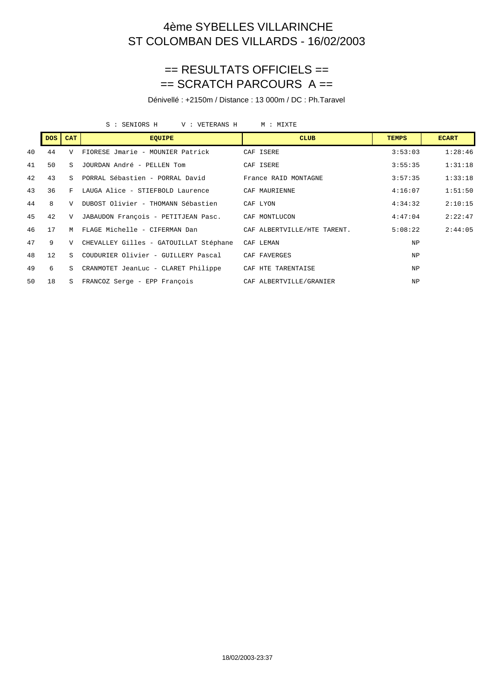### == RESULTATS OFFICIELS == == SCRATCH PARCOURS A ==

Dénivellé : +2150m / Distance : 13 000m / DC : Ph.Taravel

S : SENIORS H V : VETERANS H M : MIXTE

|    | <b>DOS</b> | <b>CAT</b>     | <b>EQUIPE</b>                                        | <b>CLUB</b>                 | <b>TEMPS</b> | <b>ECART</b> |
|----|------------|----------------|------------------------------------------------------|-----------------------------|--------------|--------------|
| 40 | 44         | V              | FIORESE Jmarie - MOUNIER Patrick                     | CAF ISERE                   | 3:53:03      | 1:28:46      |
| 41 | 50         | $\mathbf{S}$   | JOURDAN André - PELLEN Tom                           | CAF ISERE                   | 3:55:35      | 1:31:18      |
| 42 | 43         | $\mathcal{S}$  | PORRAL Sébastien - PORRAL David France RAID MONTAGNE |                             | 3:57:35      | 1:33:18      |
| 43 | 36         | F              | LAUGA Alice - STIEFBOLD Laurence                     | CAF MAURIENNE               | 4:16:07      | 1:51:50      |
| 44 | 8          | $\overline{V}$ | DUBOST Olivier - THOMANN Sébastien                   | CAF LYON                    | 4:34:32      | 2:10:15      |
| 45 | 42         |                | V JABAUDON François - PETITJEAN Pasc. CAF MONTLUCON  |                             | 4:47:04      | 2:22:47      |
| 46 | 17         | M              | FLAGE Michelle - CIFERMAN Dan                        | CAF ALBERTVILLE/HTE TARENT. | 5:08:22      | 2:44:05      |
| 47 | 9          | $\mathbf{V}$   | CHEVALLEY Gilles - GATOUILLAT Stéphane               | CAF LEMAN                   | NP           |              |
| 48 | 12         | S.             | COUDURIER Olivier - GUILLERY Pascal                  | CAF FAVERGES                | <b>NP</b>    |              |
| 49 | 6          | S.             | CRANMOTET JeanLuc - CLARET Philippe                  | CAF HTE TARENTAISE          | <b>NP</b>    |              |
| 50 | 18         | S.             | FRANCOZ Serge - EPP François                         | CAF ALBERTVILLE/GRANIER     | <b>NP</b>    |              |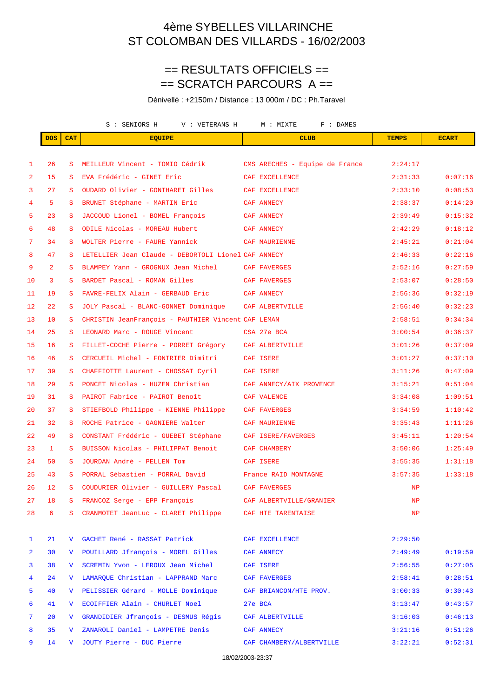### == RESULTATS OFFICIELS == == SCRATCH PARCOURS A ==

Dénivellé : +2150m / Distance : 13 000m / DC : Ph.Taravel

|                |                 |                 | S : SENIORS H<br>V : VETERANS H<br>M : MIXTE<br>F : DAMES      |  |                                |               |              |
|----------------|-----------------|-----------------|----------------------------------------------------------------|--|--------------------------------|---------------|--------------|
|                | <b>DOS</b>      | <b>CAT</b>      | <b>EQUIPE</b>                                                  |  | <b>CLUB</b>                    | <b>TEMPS</b>  | <b>ECART</b> |
|                |                 |                 |                                                                |  |                                |               |              |
| 1              | 26              | S               | MEILLEUR Vincent - TOMIO Cédrik                                |  | CMS ARECHES - Equipe de France | 2:24:17       |              |
| 2              | 15              | S               | EVA Frédéric - GINET Eric                                      |  | CAF EXCELLENCE                 | 2:31:33       | 0:07:16      |
| 3              | 27              | S.              | OUDARD Olivier - GONTHARET Gilles                              |  | CAF EXCELLENCE                 | 2:33:10       | 0:08:53      |
| 4              | 5               | S               | BRUNET Stéphane - MARTIN Eric                                  |  | CAF ANNECY                     | 2:38:37       | 0:14:20      |
| 5              | 23              | S               | JACCOUD Lionel - BOMEL François                                |  | CAF ANNECY                     | 2:39:49       | 0:15:32      |
| 6              | 48              | S               | ODILE Nicolas - MOREAU Hubert                                  |  | CAF ANNECY                     | 2:42:29       | 0:18:12      |
| 7              | 34              | S.              | WOLTER Pierre - FAURE Yannick                                  |  | CAF MAURIENNE                  | 2:45:21       | 0:21:04      |
| 8              | 47              | S               | LETELLIER Jean Claude - DEBORTOLI Lionel CAF ANNECY            |  |                                | 2:46:33       | 0:22:16      |
| 9              | $\overline{2}$  | S               | BLAMPEY Yann - GROGNUX Jean Michel                             |  | CAF FAVERGES                   | 2:52:16       | 0:27:59      |
| 10             | 3               | S.              | BARDET Pascal - ROMAN Gilles                                   |  | CAF FAVERGES                   | 2:53:07       | 0:28:50      |
| 11             | 19              | S               | FAVRE-FELIX Alain - GERBAUD Eric                               |  | CAF ANNECY                     | 2:56:36       | 0:32:19      |
| 12             | 22              | S               | JOLY Pascal - BLANC-GONNET Dominique CAF ALBERTVILLE           |  |                                | 2:56:40       | 0:32:23      |
| 13             | 10              | S.              | CHRISTIN JeanFrançois - PAUTHIER Vincent CAF LEMAN             |  |                                | 2:58:51       | 0:34:34      |
| 14             | 25              | S               | LEONARD Marc - ROUGE Vincent                                   |  | CSA 27e BCA                    | 3:00:54       | 0:36:37      |
| 15             | 16              | S.              | FILLET-COCHE Pierre - PORRET Grégory                           |  | CAF ALBERTVILLE                | 3:01:26       | 0:37:09      |
| 16             | 46              | S               | CERCUEIL Michel - FONTRIER Dimitri                             |  | CAF ISERE                      | 3:01:27       | 0:37:10      |
| 17             | 39              | S.              | CHAFFIOTTE Laurent - CHOSSAT Cyril                             |  | CAF ISERE                      | 3:11:26       | 0:47:09      |
| 18             | 29              | S               | PONCET Nicolas - HUZEN Christian                               |  | CAF ANNECY/AIX PROVENCE        | 3:15:21       | 0:51:04      |
| 19             | 31              | S               | PAIROT Fabrice - PAIROT Benoît                                 |  | CAF VALENCE                    | 3:34:08       | 1:09:51      |
| 20             | 37              | S.              | STIEFBOLD Philippe - KIENNE Philippe                           |  | CAF FAVERGES                   | 3:34:59       | 1:10:42      |
| 21             | 32              | S               | ROCHE Patrice - GAGNIERE Walter                                |  | CAF MAURIENNE                  | 3:35:43       | 1:11:26      |
| 22             | 49              | S               | CONSTANT Frédéric - GUEBET Stéphane                            |  | CAF ISERE/FAVERGES             | 3:45:11       | 1:20:54      |
| 23             | $\mathbf{1}$    | S               | BUISSON Nicolas - PHILIPPAT Benoit                             |  | <b>CAF CHAMBERY</b>            | 3:50:06       | 1:25:49      |
| 24             | 50              | S.              | JOURDAN André - PELLEN Tom                                     |  | CAF ISERE                      | 3:55:35       | 1:31:18      |
| 25             | 43              | S.              | PORRAL Sébastien - PORRAL David                                |  | France RAID MONTAGNE           | 3:57:35       | 1:33:18      |
| 26             | 12 <sub>1</sub> |                 | S COUDURIER Olivier - GUILLERY Pascal CAF FAVERGES             |  |                                | $\mathbf{NP}$ |              |
| 27             | 18              |                 | S FRANCOZ Serge - EPP François <a> CAF ALBERTVILLE/GRANIER</a> |  |                                | NP            |              |
| 28             | 6               |                 | S CRANMOTET JeanLuc - CLARET Philippe CAF HTE TARENTAISE       |  |                                | NP            |              |
| $\mathbf{1}$   | 21              |                 | V GACHET René - RASSAT Patrick                                 |  | CAF EXCELLENCE                 | 2:29:50       |              |
| $\overline{a}$ | 30              | $\mathbf{V}$    | POUILLARD Jfrançois - MOREL Gilles                             |  | CAF ANNECY                     | 2:49:49       | 0:19:59      |
| 3              | 38              | $V_{\parallel}$ | SCREMIN Yvon - LEROUX Jean Michel                              |  | CAF ISERE                      | 2:56:55       | 0:27:05      |
| 4              | 24              |                 | V LAMARQUE Christian - LAPPRAND Marc                           |  | CAF FAVERGES                   | 2:58:41       | 0:28:51      |
| 5              | 40              |                 | V PELISSIER Gérard - MOLLE Dominique                           |  | CAF BRIANCON/HTE PROV.         | 3:00:33       | 0:30:43      |
| 6              | 41              | $\mathbf{V}$    | ECOIFFIER Alain - CHURLET Noel                                 |  | 27e BCA                        | 3:13:47       | 0:43:57      |
| 7              | 20 <sub>o</sub> | V –             | GRANDIDIER Jfrançois - DESMUS Régis CAF ALBERTVILLE            |  |                                | 3:16:03       | 0:46:13      |
| 8              | 35              | V.              | ZANAROLI Daniel - LAMPETRE Denis CAF ANNECY                    |  |                                | 3:21:16       | 0:51:26      |
| 9              | 14              |                 | V JOUTY Pierre - DUC Pierre                                    |  | CAF CHAMBERY/ALBERTVILLE       | 3:22:21       | 0:52:31      |

18/02/2003-23:37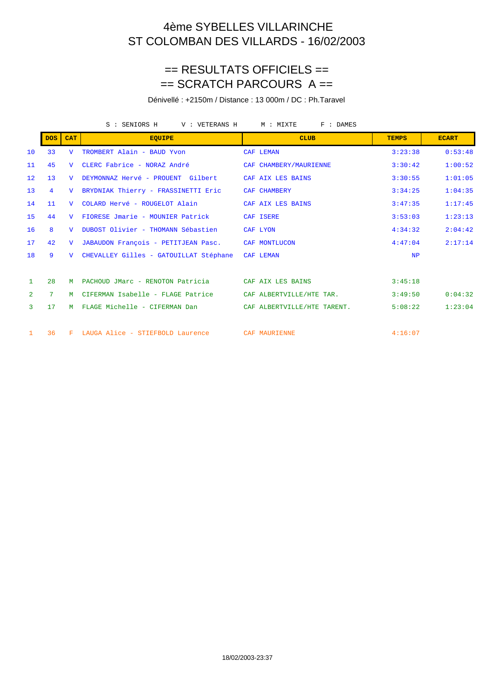### == RESULTATS OFFICIELS == == SCRATCH PARCOURS A ==

Dénivellé : +2150m / Distance : 13 000m / DC : Ph.Taravel

|                   |                  |                | S : SENIORS H<br>V : VETERANS H        | F : DAMES<br>M : MIXTE      |              |              |
|-------------------|------------------|----------------|----------------------------------------|-----------------------------|--------------|--------------|
|                   | DOS <sup>1</sup> | <b>CAT</b>     | <b>EQUIPE</b>                          | <b>CLUB</b>                 | <b>TEMPS</b> | <b>ECART</b> |
| 10                | 33               | $\overline{V}$ | TROMBERT Alain - BAUD Yvon             | CAF LEMAN                   | 3:23:38      | 0:53:48      |
| 11                | 45               | $\mathbf{V}$   | CLERC Fabrice - NORAZ André            | CAF CHAMBERY/MAURIENNE      | 3:30:42      | 1:00:52      |
| $12 \overline{ }$ | 13               | $\overline{U}$ | DEYMONNAZ Hervé - PROUENT Gilbert      | CAF AIX LES BAINS           | 3:30:55      | 1:01:05      |
| 13                | $\overline{4}$   | $\mathbf{V}$   | BRYDNIAK Thierry - FRASSINETTI Eric    | CAF CHAMBERY                | 3:34:25      | 1:04:35      |
| 14                | 11               | $\mathbf{V}$   | COLARD Hervé - ROUGELOT Alain          | CAF AIX LES BAINS           | 3:47:35      | 1:17:45      |
| 15                | 44               | $\mathbf{V}$   | FIORESE Jmarie - MOUNIER Patrick       | CAF ISERE                   | 3:53:03      | 1:23:13      |
| 16                | 8                | $\mathbf{V}$   | DUBOST Olivier - THOMANN Sébastien     | CAF LYON                    | 4:34:32      | 2:04:42      |
| 17                | 42               | $\mathbf{V}$   | JABAUDON François - PETITJEAN Pasc.    | CAF MONTLUCON               | 4:47:04      | 2:17:14      |
| 18                | 9                | $\overline{V}$ | CHEVALLEY Gilles - GATOUILLAT Stéphane | CAF LEMAN                   | NP           |              |
|                   |                  |                |                                        |                             |              |              |
| $\mathbf{1}$      | 2.8              | м              | PACHOUD JMarc - RENOTON Patricia       | CAF AIX LES BAINS           | 3:45:18      |              |
| $\overline{2}$    | 7 <sup>1</sup>   | M              | CIFERMAN Isabelle - FLAGE Patrice      | CAF ALBERTVILLE/HTE TAR.    | 3:49:50      | 0:04:32      |
| 3                 | 17               | M              | FLAGE Michelle - CIFERMAN Dan          | CAF ALBERTVILLE/HTE TARENT. | 5:08:22      | 1:23:04      |
|                   |                  |                |                                        |                             |              |              |
| $\mathbf{1}$      | 36               | F.             | LAUGA Alice - STIEFBOLD Laurence       | CAF MAURIENNE               | 4:16:07      |              |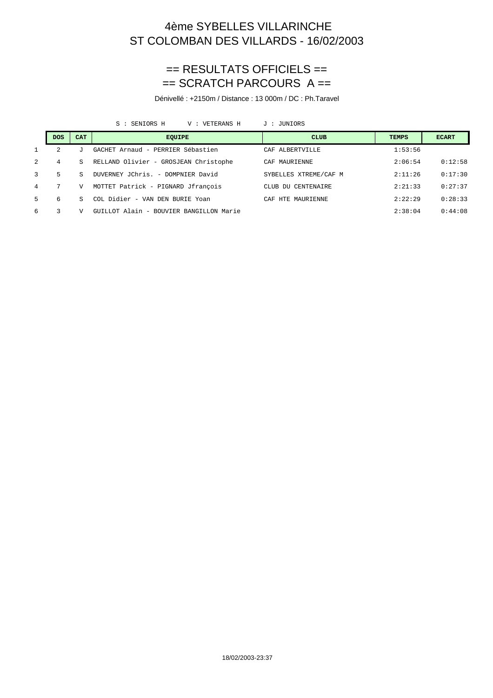#### == RESULTATS OFFICIELS ==  $==$  SCRATCH PARCOURS  $A ==$

Dénivellé : +2150m / Distance : 13 000m / DC : Ph.Taravel

S : SENIORS H V : VETERANS H J : JUNIORS

|                | <b>DOS</b> | <b>CAT</b> | <b>EOUIPE</b>                           | <b>CLUB</b>           | <b>TEMPS</b> | <b>ECART</b> |
|----------------|------------|------------|-----------------------------------------|-----------------------|--------------|--------------|
|                | 2          |            | GACHET Arnaud - PERRIER Sébastien       | CAF ALBERTVILLE       | 1:53:56      |              |
| $\overline{2}$ | 4          | S.         | RELLAND Olivier - GROSJEAN Christophe   | CAF MAURIENNE         | 2:06:54      | 0:12:58      |
| 3              | 5          | S          | DUVERNEY JChris. - DOMPNIER David       | SYBELLES XTREME/CAF M | 2:11:26      | 0:17:30      |
| 4              |            | V          | MOTTET Patrick - PIGNARD Jfrançois      | CLUB DU CENTENAIRE    | 2:21:33      | 0:27:37      |
| .5             | 6          | S          | COL Didier - VAN DEN BURIE Yoan         | CAF HTE MAURIENNE     | 2:22:29      | 0:28:33      |
| 6              | 3          | V          | GUILLOT Alain - BOUVIER BANGILLON Marie |                       | 2:38:04      | 0:44:08      |